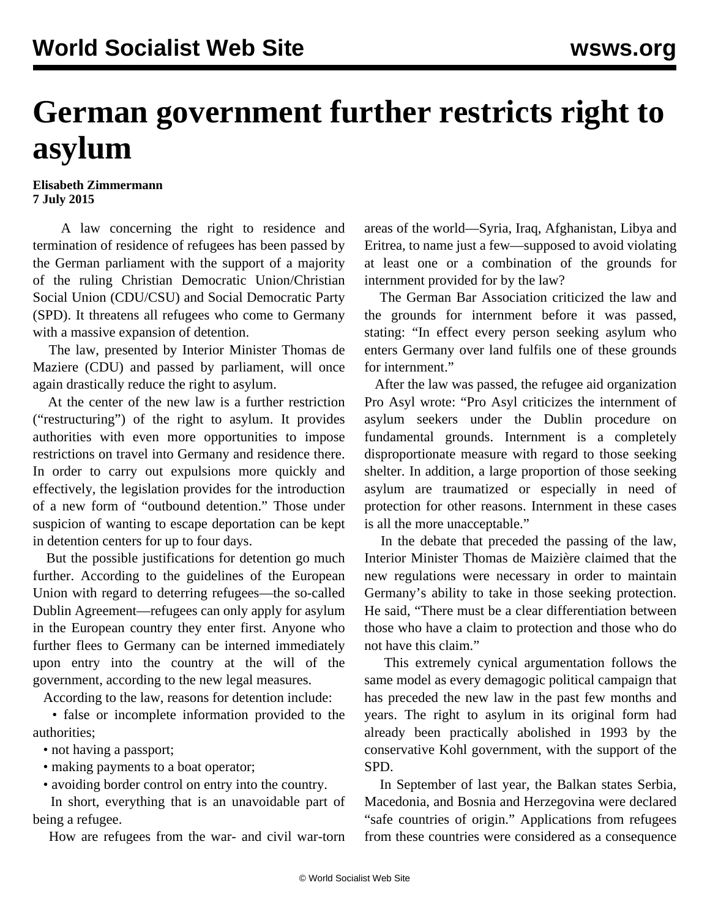## **German government further restricts right to asylum**

## **Elisabeth Zimmermann 7 July 2015**

 A law concerning the right to residence and termination of residence of refugees has been passed by the German parliament with the support of a majority of the ruling Christian Democratic Union/Christian Social Union (CDU/CSU) and Social Democratic Party (SPD). It threatens all refugees who come to Germany with a massive expansion of detention.

 The law, presented by Interior Minister Thomas de Maziere (CDU) and passed by parliament, will once again drastically reduce the right to asylum.

 At the center of the new law is a further restriction ("restructuring") of the right to asylum. It provides authorities with even more opportunities to impose restrictions on travel into Germany and residence there. In order to carry out expulsions more quickly and effectively, the legislation provides for the introduction of a new form of "outbound detention." Those under suspicion of wanting to escape deportation can be kept in detention centers for up to four days.

 But the possible justifications for detention go much further. According to the guidelines of the European Union with regard to deterring refugees—the so-called Dublin Agreement—refugees can only apply for asylum in the European country they enter first. Anyone who further flees to Germany can be interned immediately upon entry into the country at the will of the government, according to the new legal measures.

According to the law, reasons for detention include:

 • false or incomplete information provided to the authorities;

• not having a passport;

- making payments to a boat operator;
- avoiding border control on entry into the country.

 In short, everything that is an unavoidable part of being a refugee.

How are refugees from the war- and civil war-torn

areas of the world—Syria, Iraq, Afghanistan, Libya and Eritrea, to name just a few—supposed to avoid violating at least one or a combination of the grounds for internment provided for by the law?

 The German Bar Association criticized the law and the grounds for internment before it was passed, stating: "In effect every person seeking asylum who enters Germany over land fulfils one of these grounds for internment."

 After the law was passed, the refugee aid organization Pro Asyl wrote: "Pro Asyl criticizes the internment of asylum seekers under the Dublin procedure on fundamental grounds. Internment is a completely disproportionate measure with regard to those seeking shelter. In addition, a large proportion of those seeking asylum are traumatized or especially in need of protection for other reasons. Internment in these cases is all the more unacceptable."

 In the debate that preceded the passing of the law, Interior Minister Thomas de Maizière claimed that the new regulations were necessary in order to maintain Germany's ability to take in those seeking protection. He said, "There must be a clear differentiation between those who have a claim to protection and those who do not have this claim."

 This extremely cynical argumentation follows the same model as every demagogic political campaign that has preceded the new law in the past few months and years. The right to asylum in its original form had already been practically abolished in 1993 by the conservative Kohl government, with the support of the SPD.

 In September of last year, the Balkan states Serbia, Macedonia, and Bosnia and Herzegovina were declared "safe countries of origin." Applications from refugees from these countries were considered as a consequence